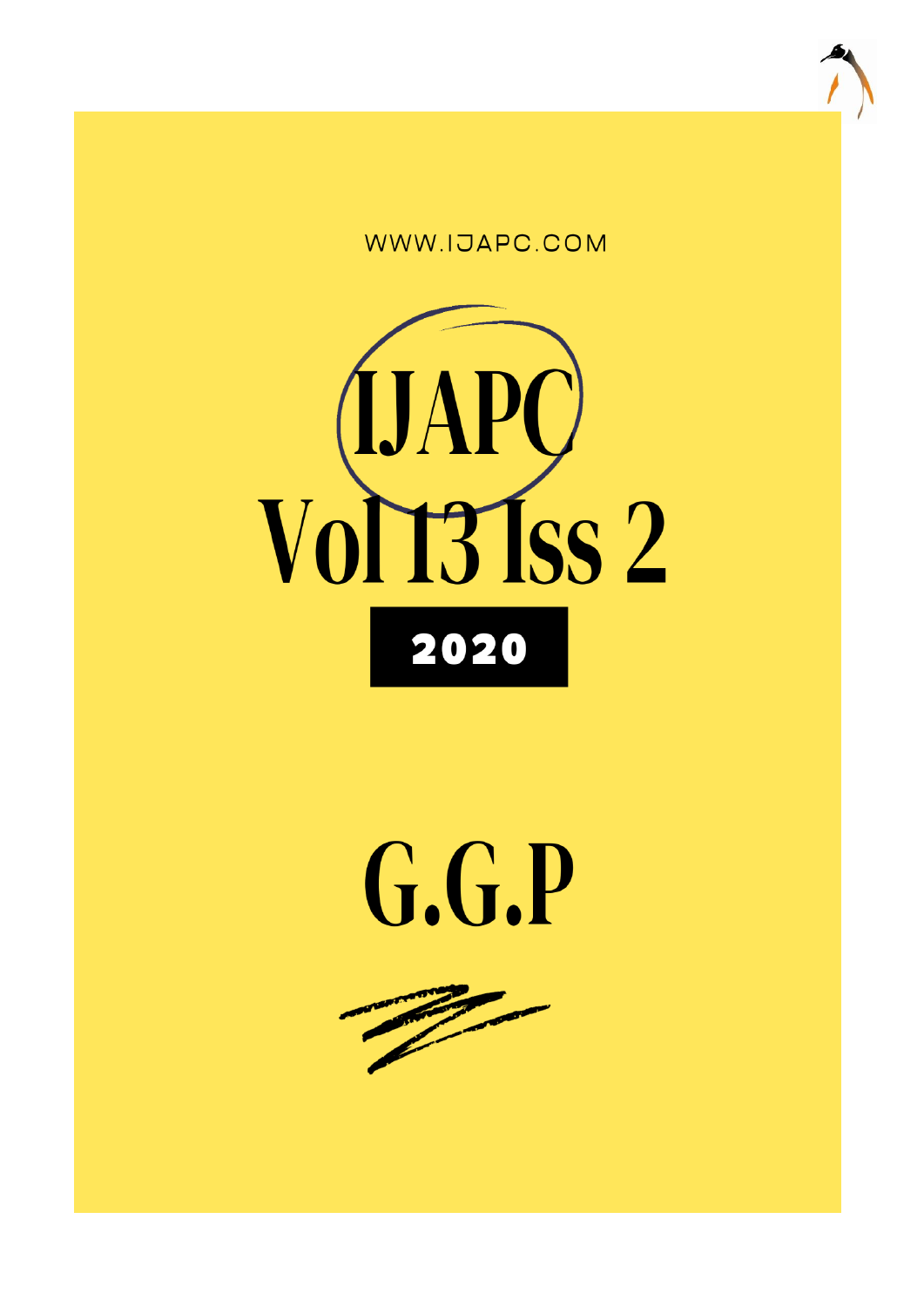





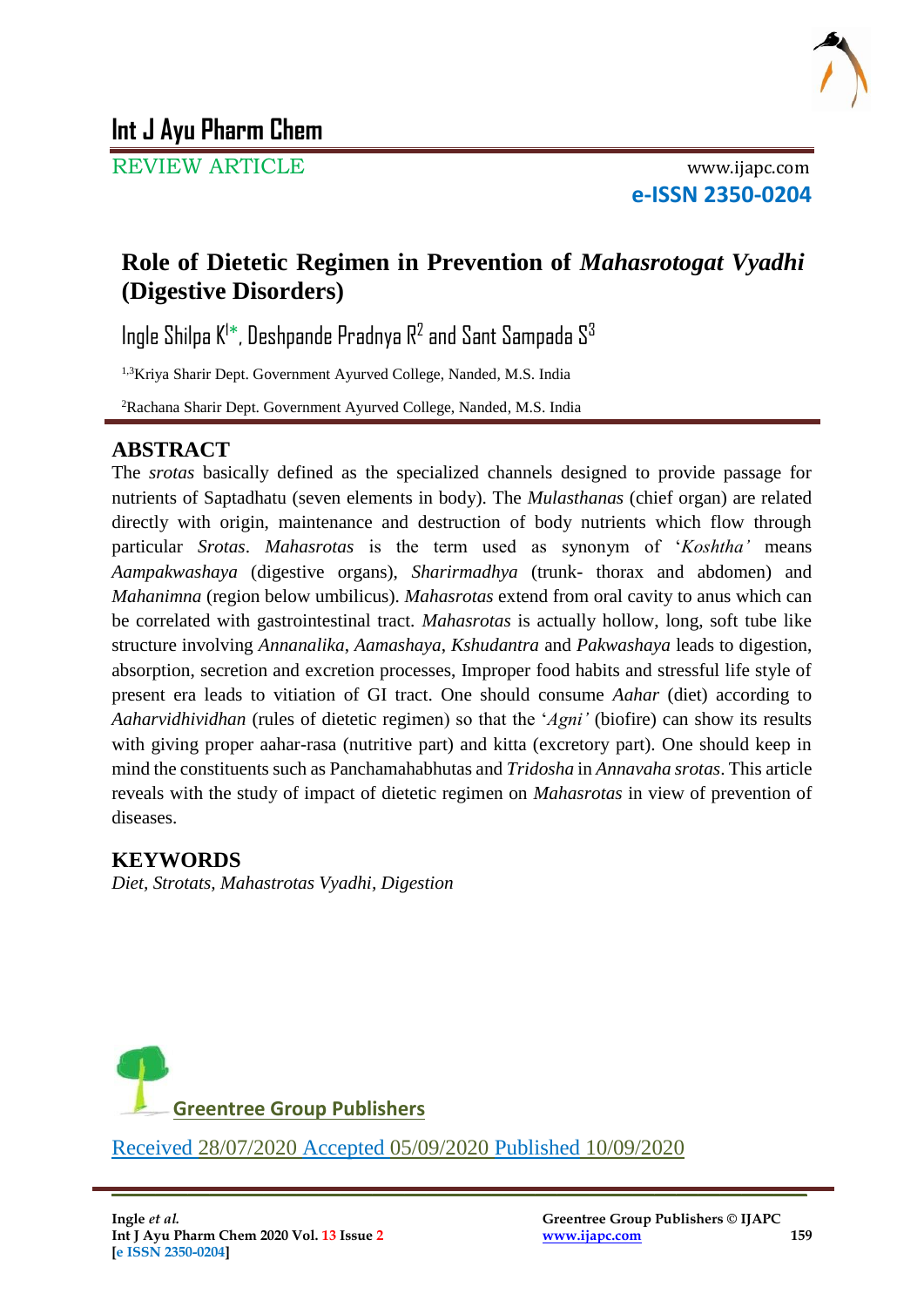

REVIEW ARTICLE www.ijapc.com

**e-ISSN 2350-0204**

## **Role of Dietetic Regimen in Prevention of** *Mahasrotogat Vyadhi* **(Digestive Disorders)**

Ingle Shilpa K<sup>1\*</sup>, Deshpande Pradnya R<sup>2</sup> and Sant Sampada S<sup>3</sup>

1,3Kriya Sharir Dept. Government Ayurved College, Nanded, M.S. India

<sup>2</sup>Rachana Sharir Dept. Government Ayurved College, Nanded, M.S. India

## **ABSTRACT**

The *srotas* basically defined as the specialized channels designed to provide passage for nutrients of Saptadhatu (seven elements in body). The *Mulasthanas* (chief organ) are related directly with origin, maintenance and destruction of body nutrients which flow through particular *Srotas*. *Mahasrotas* is the term used as synonym of '*Koshtha'* means *Aampakwashaya* (digestive organs), *Sharirmadhya* (trunk- thorax and abdomen) and *Mahanimna* (region below umbilicus). *Mahasrotas* extend from oral cavity to anus which can be correlated with gastrointestinal tract. *Mahasrotas* is actually hollow, long, soft tube like structure involving *Annanalika*, *Aamashaya*, *Kshudantra* and *Pakwashaya* leads to digestion, absorption, secretion and excretion processes, Improper food habits and stressful life style of present era leads to vitiation of GI tract. One should consume *Aahar* (diet) according to *Aaharvidhividhan* (rules of dietetic regimen) so that the '*Agni'* (biofire) can show its results with giving proper aahar-rasa (nutritive part) and kitta (excretory part). One should keep in mind the constituents such as Panchamahabhutas and *Tridosha* in *Annavaha srotas*. This article reveals with the study of impact of dietetic regimen on *Mahasrotas* in view of prevention of diseases.

### **KEYWORDS**

*Diet, Strotats, Mahastrotas Vyadhi, Digestion*



Received 28/07/2020 Accepted 05/09/2020 Published 10/09/2020

\_\_\_\_\_\_\_\_\_\_\_\_\_\_\_\_\_\_\_\_\_\_\_\_\_\_\_\_\_\_\_\_\_\_\_\_\_\_\_\_\_\_\_\_\_\_\_\_\_\_\_\_\_\_\_\_\_\_\_\_\_\_\_\_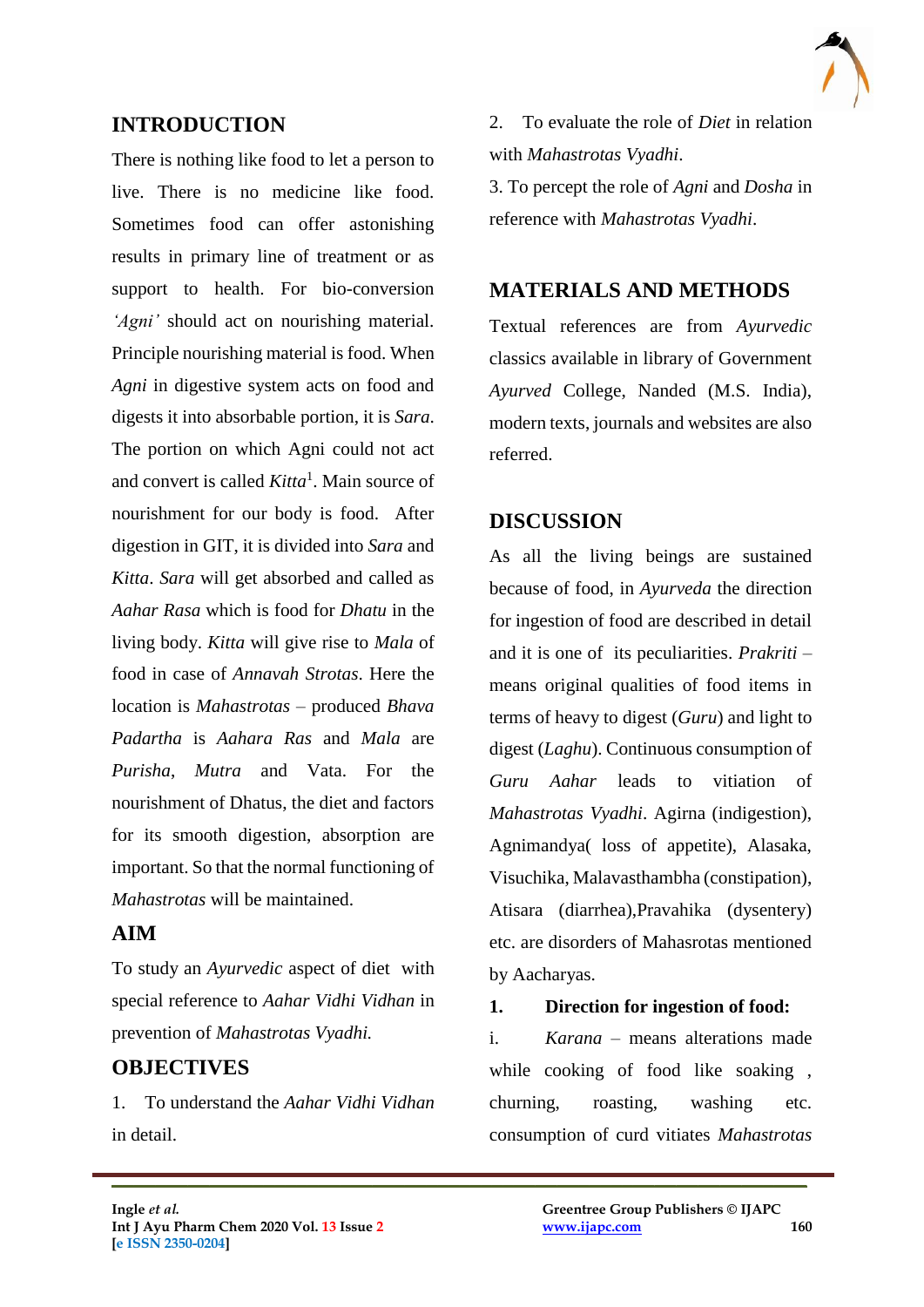

#### **INTRODUCTION**

There is nothing like food to let a person to live. There is no medicine like food. Sometimes food can offer astonishing results in primary line of treatment or as support to health. For bio-conversion *'Agni'* should act on nourishing material. Principle nourishing material is food. When *Agni* in digestive system acts on food and digests it into absorbable portion, it is *Sara*. The portion on which Agni could not act and convert is called *Kitta*<sup>1</sup> . Main source of nourishment for our body is food. After digestion in GIT, it is divided into *Sara* and *Kitta*. *Sara* will get absorbed and called as *Aahar Rasa* which is food for *Dhatu* in the living body. *Kitta* will give rise to *Mala* of food in case of *Annavah Strotas*. Here the location is *Mahastrotas* – produced *Bhava Padartha* is *Aahara Ras* and *Mala* are *Purisha*, *Mutra* and Vata. For the nourishment of Dhatus, the diet and factors for its smooth digestion, absorption are important. So that the normal functioning of *Mahastrotas* will be maintained.

#### **AIM**

To study an *Ayurvedic* aspect of diet with special reference to *Aahar Vidhi Vidhan* in prevention of *Mahastrotas Vyadhi.*

#### **OBJECTIVES**

1. To understand the *Aahar Vidhi Vidhan* in detail.

 $\mathcal{L}_\mathcal{L}$  , and the contribution of the contribution of the contribution of the contribution of the contribution of the contribution of the contribution of the contribution of the contribution of the contribution of

2. To evaluate the role of *Diet* in relation with *Mahastrotas Vyadhi*.

3. To percept the role of *Agni* and *Dosha* in reference with *Mahastrotas Vyadhi*.

### **MATERIALS AND METHODS**

Textual references are from *Ayurvedic* classics available in library of Government *Ayurved* College, Nanded (M.S. India), modern texts, journals and websites are also referred.

## **DISCUSSION**

As all the living beings are sustained because of food, in *Ayurveda* the direction for ingestion of food are described in detail and it is one of its peculiarities. *Prakriti* – means original qualities of food items in terms of heavy to digest (*Guru*) and light to digest (*Laghu*). Continuous consumption of *Guru Aahar* leads to vitiation of *Mahastrotas Vyadhi*. Agirna (indigestion), Agnimandya( loss of appetite), Alasaka, Visuchika, Malavasthambha (constipation), Atisara (diarrhea),Pravahika (dysentery) etc. are disorders of Mahasrotas mentioned by Aacharyas.

#### **1. Direction for ingestion of food:**

i. *Karana* – means alterations made while cooking of food like soaking , churning, roasting, washing etc. consumption of curd vitiates *Mahastrotas*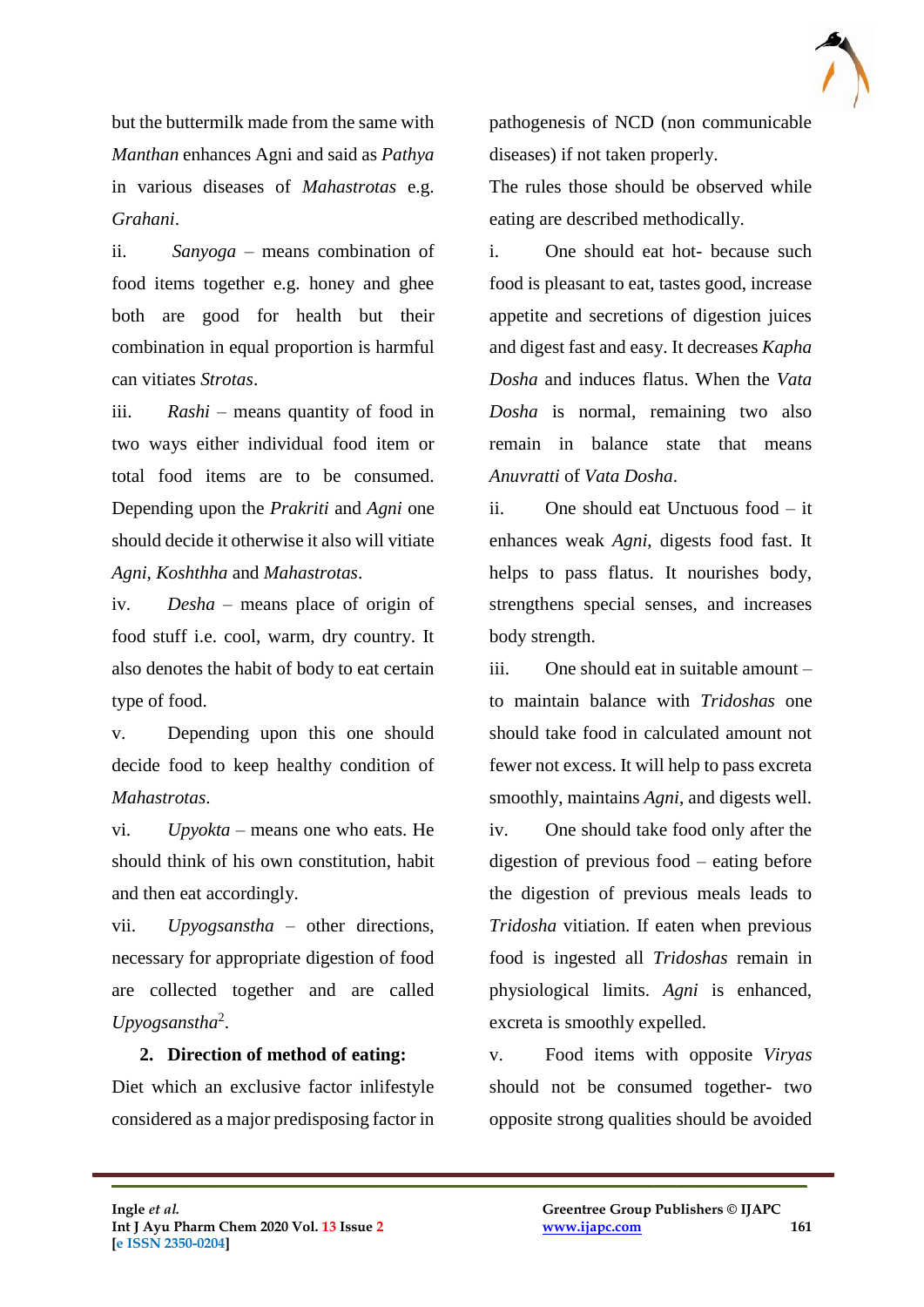but the buttermilk made from the same with *Manthan* enhances Agni and said as *Pathya* in various diseases of *Mahastrotas* e.g. *Grahani*.

ii. *Sanyoga* – means combination of food items together e.g. honey and ghee both are good for health but their combination in equal proportion is harmful can vitiates *Strotas*.

iii. *Rashi* – means quantity of food in two ways either individual food item or total food items are to be consumed. Depending upon the *Prakriti* and *Agni* one should decide it otherwise it also will vitiate *Agni, Koshthha* and *Mahastrotas*.

iv. *Desha* – means place of origin of food stuff i.e. cool, warm, dry country. It also denotes the habit of body to eat certain type of food.

v. Depending upon this one should decide food to keep healthy condition of *Mahastrotas*.

vi. *Upyokta* – means one who eats. He should think of his own constitution, habit and then eat accordingly.

vii. *Upyogsanstha* – other directions, necessary for appropriate digestion of food are collected together and are called *Upyogsanstha*<sup>2</sup> .

# **2. Direction of method of eating:**

Diet which an exclusive factor inlifestyle considered as a major predisposing factor in

 $\mathcal{L}_\mathcal{L}$  , and the contribution of the contribution of the contribution of the contribution of the contribution of the contribution of the contribution of the contribution of the contribution of the contribution of

pathogenesis of NCD (non communicable diseases) if not taken properly.

The rules those should be observed while eating are described methodically.

i. One should eat hot- because such food is pleasant to eat, tastes good, increase appetite and secretions of digestion juices and digest fast and easy. It decreases *Kapha Dosha* and induces flatus. When the *Vata Dosha* is normal, remaining two also remain in balance state that means *Anuvratti* of *Vata Dosha*.

ii. One should eat Unctuous food – it enhances weak *Agni*, digests food fast. It helps to pass flatus. It nourishes body, strengthens special senses, and increases body strength.

iii. One should eat in suitable amount – to maintain balance with *Tridoshas* one should take food in calculated amount not fewer not excess. It will help to pass excreta smoothly, maintains *Agni*, and digests well. iv. One should take food only after the

digestion of previous food – eating before the digestion of previous meals leads to *Tridosha* vitiation. If eaten when previous food is ingested all *Tridoshas* remain in physiological limits. *Agni* is enhanced, excreta is smoothly expelled.

v. Food items with opposite *Viryas* should not be consumed together- two opposite strong qualities should be avoided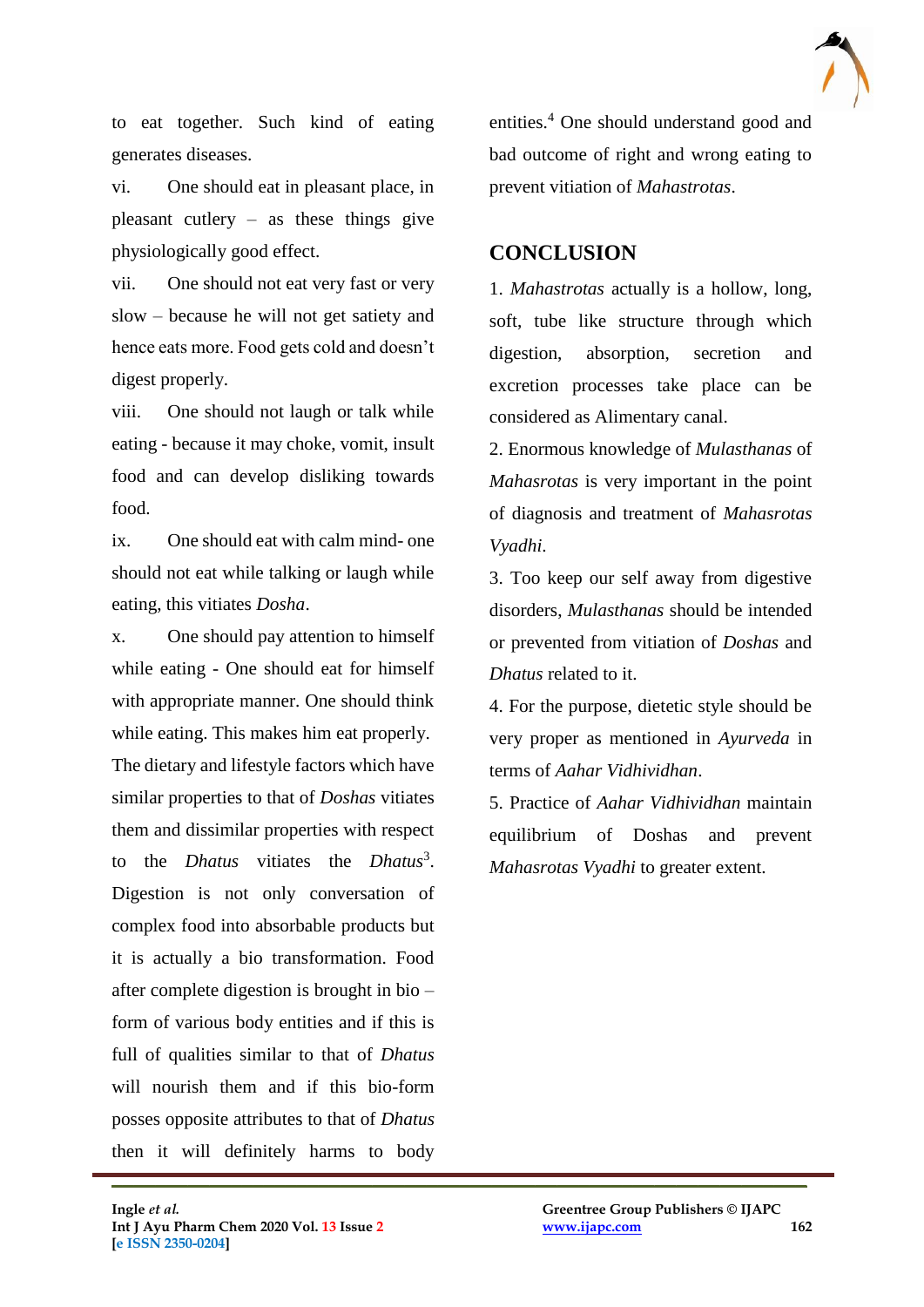

to eat together. Such kind of eating generates diseases.

vi. One should eat in pleasant place, in pleasant cutlery – as these things give physiologically good effect.

vii. One should not eat very fast or very slow – because he will not get satiety and hence eats more. Food gets cold and doesn't digest properly.

viii. One should not laugh or talk while eating - because it may choke, vomit, insult food and can develop disliking towards food.

ix. One should eat with calm mind- one should not eat while talking or laugh while eating, this vitiates *Dosha*.

x. One should pay attention to himself while eating - One should eat for himself with appropriate manner. One should think while eating. This makes him eat properly. The dietary and lifestyle factors which have similar properties to that of *Doshas* vitiates them and dissimilar properties with respect to the *Dhatus* vitiates the *Dhatus*<sup>3</sup>. Digestion is not only conversation of complex food into absorbable products but it is actually a bio transformation. Food after complete digestion is brought in bio – form of various body entities and if this is full of qualities similar to that of *Dhatus* will nourish them and if this bio-form posses opposite attributes to that of *Dhatus* then it will definitely harms to body

entities.<sup>4</sup> One should understand good and bad outcome of right and wrong eating to prevent vitiation of *Mahastrotas*.

#### **CONCLUSION**

1. *Mahastrotas* actually is a hollow, long, soft, tube like structure through which digestion, absorption, secretion and excretion processes take place can be considered as Alimentary canal.

2. Enormous knowledge of *Mulasthanas* of *Mahasrotas* is very important in the point of diagnosis and treatment of *Mahasrotas Vyadhi*.

3. Too keep our self away from digestive disorders, *Mulasthanas* should be intended or prevented from vitiation of *Doshas* and *Dhatus* related to it.

4. For the purpose, dietetic style should be very proper as mentioned in *Ayurveda* in terms of *Aahar Vidhividhan*.

5. Practice of *Aahar Vidhividhan* maintain equilibrium of Doshas and prevent *Mahasrotas Vyadhi* to greater extent.

 $\mathcal{L}_\mathcal{L}$  , and the contribution of the contribution of the contribution of the contribution of the contribution of the contribution of the contribution of the contribution of the contribution of the contribution of